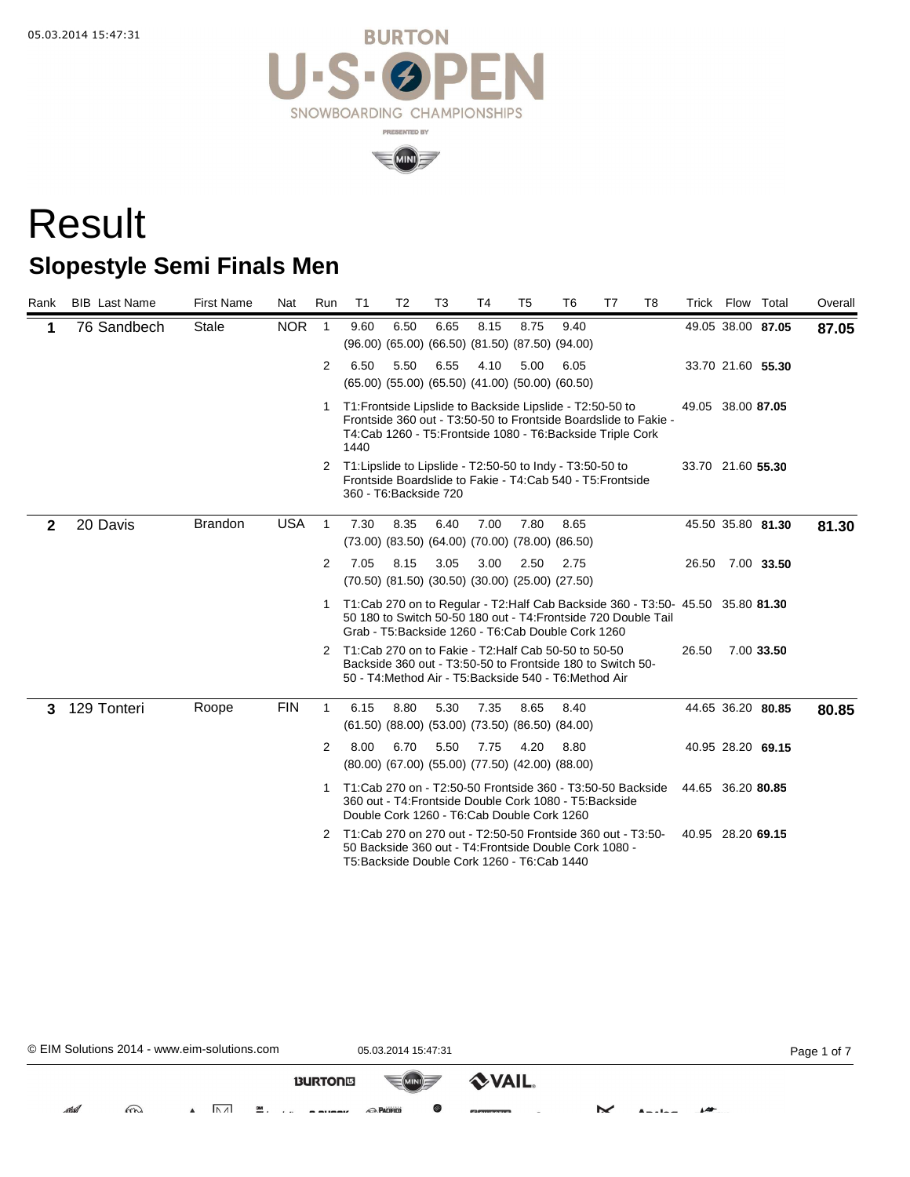



## Result **Slopestyle Semi Finals Men**

| Rank         | <b>BIB</b> Last Name | <b>First Name</b> | Nat        | Run            | T <sub>1</sub>         | T <sub>2</sub> | T <sub>3</sub>                                                      | T <sub>4</sub> | T <sub>5</sub> | T <sub>6</sub>                                                                                                                                                                                          | T7 | T <sub>8</sub> |                   | Trick Flow Total  |                   | Overall |
|--------------|----------------------|-------------------|------------|----------------|------------------------|----------------|---------------------------------------------------------------------|----------------|----------------|---------------------------------------------------------------------------------------------------------------------------------------------------------------------------------------------------------|----|----------------|-------------------|-------------------|-------------------|---------|
| 1            | 76 Sandbech          | Stale             | <b>NOR</b> | $\overline{1}$ | 9.60                   | 6.50           | 6.65<br>(96.00) (65.00) (66.50) (81.50) (87.50) (94.00)             | 8.15           | 8.75           | 9.40                                                                                                                                                                                                    |    |                |                   | 49.05 38.00 87.05 |                   | 87.05   |
|              |                      |                   |            | $\overline{2}$ | 6.50                   | 5.50           | 6.55<br>$(65.00)$ $(55.00)$ $(65.50)$ $(41.00)$ $(50.00)$ $(60.50)$ | 4.10           | 5.00           | 6.05                                                                                                                                                                                                    |    |                |                   | 33.70 21.60 55.30 |                   |         |
|              |                      |                   |            | 1.             | 1440                   |                |                                                                     |                |                | T1: Frontside Lipslide to Backside Lipslide - T2:50-50 to<br>Frontside 360 out - T3:50-50 to Frontside Boardslide to Fakie -<br>T4:Cab 1260 - T5: Frontside 1080 - T6: Backside Triple Cork             |    |                | 49.05 38.00 87.05 |                   |                   |         |
|              |                      |                   |            |                | 360 - T6: Backside 720 |                |                                                                     |                |                | 2 T1: Lipslide to Lipslide - T2:50-50 to Indy - T3:50-50 to<br>Frontside Boardslide to Fakie - T4:Cab 540 - T5: Frontside                                                                               |    |                | 33.70 21.60 55.30 |                   |                   |         |
| $\mathbf{2}$ | 20 Davis             | <b>Brandon</b>    | <b>USA</b> | $\overline{1}$ | 7.30                   | 8.35           | 6.40<br>(73.00) (83.50) (64.00) (70.00) (78.00) (86.50)             | 7.00           | 7.80           | 8.65                                                                                                                                                                                                    |    |                |                   |                   | 45.50 35.80 81.30 | 81.30   |
|              |                      |                   |            | 2              | 7.05                   | 8.15           | 3.05<br>$(70.50)$ $(81.50)$ $(30.50)$ $(30.00)$ $(25.00)$ $(27.50)$ | 3.00           | 2.50           | 2.75                                                                                                                                                                                                    |    |                | 26.50             |                   | 7.00 33.50        |         |
|              |                      |                   |            | 1              |                        |                |                                                                     |                |                | T1:Cab 270 on to Regular - T2:Half Cab Backside 360 - T3:50- 45.50 35.80 81.30<br>50 180 to Switch 50-50 180 out - T4: Frontside 720 Double Tail<br>Grab - T5: Backside 1260 - T6: Cab Double Cork 1260 |    |                |                   |                   |                   |         |
|              |                      |                   |            | 2              |                        |                |                                                                     |                |                | T1:Cab 270 on to Fakie - T2:Half Cab 50-50 to 50-50<br>Backside 360 out - T3:50-50 to Frontside 180 to Switch 50-<br>50 - T4: Method Air - T5: Backside 540 - T6: Method Air                            |    |                | 26.50             |                   | 7.00 33.50        |         |
| 3            | 129 Tonteri          | Roope             | <b>FIN</b> | $\mathbf{1}$   | 6.15                   | 8.80           | 5.30<br>$(61.50)$ $(88.00)$ $(53.00)$ $(73.50)$ $(86.50)$ $(84.00)$ | 7.35           | 8.65           | 8.40                                                                                                                                                                                                    |    |                |                   | 44.65 36.20 80.85 |                   | 80.85   |
|              |                      |                   |            | 2              | 8.00                   | 6.70           | 5.50<br>(80.00) (67.00) (55.00) (77.50) (42.00) (88.00)             | 7.75           | 4.20           | 8.80                                                                                                                                                                                                    |    |                |                   | 40.95 28.20 69.15 |                   |         |
|              |                      |                   |            | 1              |                        |                | Double Cork 1260 - T6:Cab Double Cork 1260                          |                |                | T1:Cab 270 on - T2:50-50 Frontside 360 - T3:50-50 Backside<br>360 out - T4: Frontside Double Cork 1080 - T5: Backside                                                                                   |    |                | 44.65 36.20 80.85 |                   |                   |         |
|              |                      |                   |            | 2              |                        |                | T5: Backside Double Cork 1260 - T6: Cab 1440                        |                |                | T1:Cab 270 on 270 out - T2:50-50 Frontside 360 out - T3:50-<br>50 Backside 360 out - T4: Frontside Double Cork 1080 -                                                                                   |    |                | 40.95 28.20 69.15 |                   |                   |         |

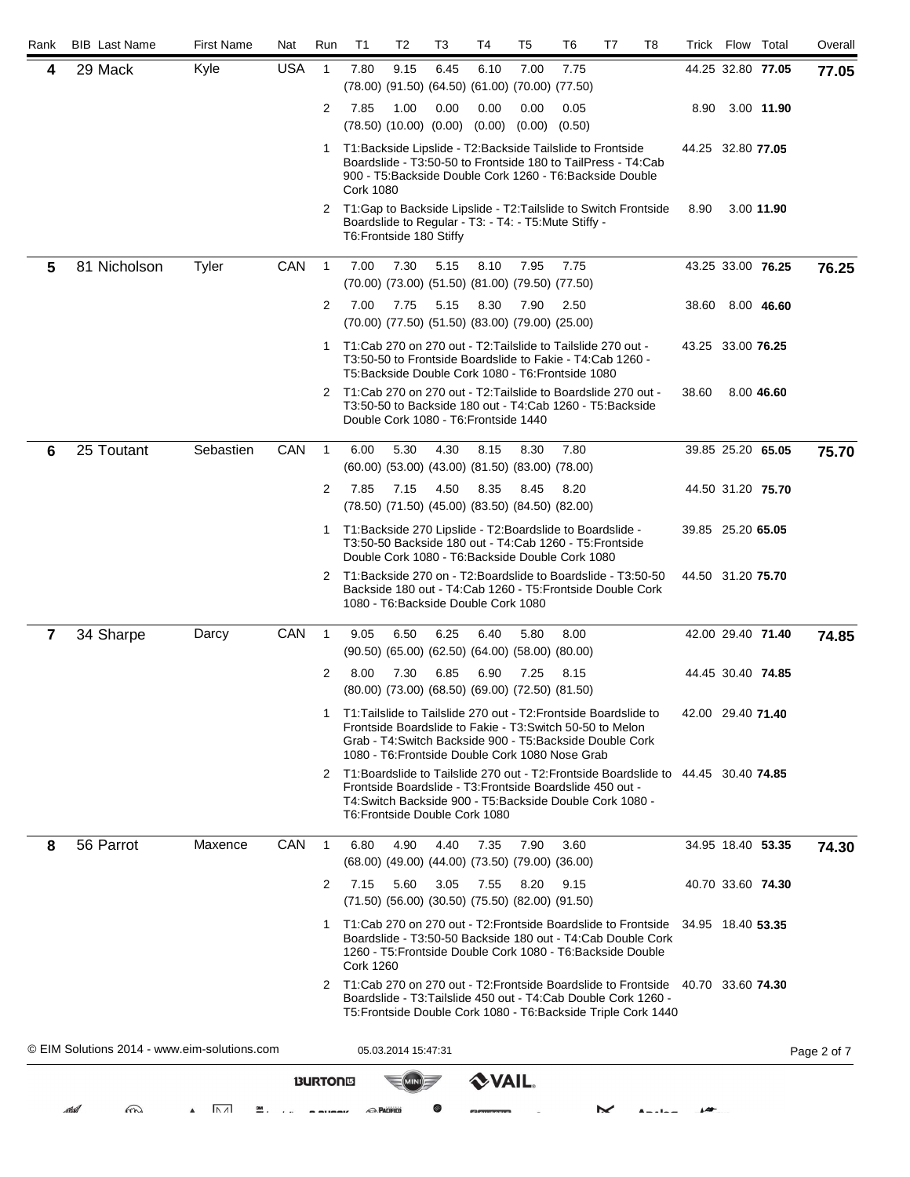| Rank           | <b>BIB</b> Last Name                         | <b>First Name</b>   | Nat        | Run            | T <sub>1</sub>                                                                                                      | T2                  | T3   | T4          | T5                                                                                                                                                                        | T6   | T7 | T8 | Trick             | Flow              | Total             | Overall     |
|----------------|----------------------------------------------|---------------------|------------|----------------|---------------------------------------------------------------------------------------------------------------------|---------------------|------|-------------|---------------------------------------------------------------------------------------------------------------------------------------------------------------------------|------|----|----|-------------------|-------------------|-------------------|-------------|
| 4              | 29 Mack                                      | Kyle                | <b>USA</b> | $\mathbf{1}$   | 7.80                                                                                                                | 9.15                | 6.45 | 6.10        | 7.00<br>(78.00) (91.50) (64.50) (61.00) (70.00) (77.50)                                                                                                                   | 7.75 |    |    |                   |                   | 44.25 32.80 77.05 | 77.05       |
|                |                                              |                     |            | $\overline{2}$ | 7.85<br>$(78.50)$ $(10.00)$ $(0.00)$ $(0.00)$                                                                       | 1.00                | 0.00 | 0.00        | 0.00<br>$(0.00)$ $(0.50)$                                                                                                                                                 | 0.05 |    |    | 8.90              |                   | 3.00 11.90        |             |
|                |                                              |                     |            |                | 1 T1: Backside Lipslide - T2: Backside Tailslide to Frontside<br><b>Cork 1080</b>                                   |                     |      |             | Boardslide - T3:50-50 to Frontside 180 to TailPress - T4:Cab<br>900 - T5: Backside Double Cork 1260 - T6: Backside Double                                                 |      |    |    | 44.25 32.80 77.05 |                   |                   |             |
|                |                                              |                     |            | 2              | T1: Gap to Backside Lipslide - T2: Tailslide to Switch Frontside<br>T6: Frontside 180 Stiffy                        |                     |      |             | Boardslide to Regular - T3: - T4: - T5: Mute Stiffy -                                                                                                                     |      |    |    | 8.90              |                   | 3.00 11.90        |             |
| 5              | 81 Nicholson                                 | Tyler               | CAN        | $\mathbf{1}$   | 7.00                                                                                                                | 7.30                | 5.15 | 8.10        | 7.95<br>$(70.00)$ $(73.00)$ $(51.50)$ $(81.00)$ $(79.50)$ $(77.50)$                                                                                                       | 7.75 |    |    |                   |                   | 43.25 33.00 76.25 | 76.25       |
|                |                                              |                     |            | $\overline{2}$ | 7.00                                                                                                                | 7.75                | 5.15 | 8.30        | 7.90<br>(70.00) (77.50) (51.50) (83.00) (79.00) (25.00)                                                                                                                   | 2.50 |    |    | 38.60             |                   | 8.00 46.60        |             |
|                |                                              |                     |            |                | 1 T1: Cab 270 on 270 out - T2: Tailslide to Tailslide 270 out -                                                     |                     |      |             | T3:50-50 to Frontside Boardslide to Fakie - T4:Cab 1260 -<br>T5: Backside Double Cork 1080 - T6: Frontside 1080                                                           |      |    |    | 43.25 33.00 76.25 |                   |                   |             |
|                |                                              |                     |            | 2              | T1:Cab 270 on 270 out - T2:Tailslide to Boardslide 270 out -<br>Double Cork 1080 - T6: Frontside 1440               |                     |      |             | T3:50-50 to Backside 180 out - T4:Cab 1260 - T5:Backside                                                                                                                  |      |    |    | 38.60             |                   | 8.00 46.60        |             |
| 6              | 25 Toutant                                   | Sebastien           | CAN        | $\mathbf{1}$   | 6.00                                                                                                                | 5.30                | 4.30 | 8.15        | 8.30<br>$(60.00)$ $(53.00)$ $(43.00)$ $(81.50)$ $(83.00)$ $(78.00)$                                                                                                       | 7.80 |    |    |                   |                   | 39.85 25.20 65.05 | 75.70       |
|                |                                              |                     |            | $\overline{2}$ | 7.85                                                                                                                | 7.15                | 4.50 | 8.35        | 8.45<br>(78.50) (71.50) (45.00) (83.50) (84.50) (82.00)                                                                                                                   | 8.20 |    |    |                   | 44.50 31.20 75.70 |                   |             |
|                |                                              |                     |            | 1              | T1: Backside 270 Lipslide - T2: Boardslide to Boardslide -                                                          |                     |      |             | T3:50-50 Backside 180 out - T4:Cab 1260 - T5:Frontside<br>Double Cork 1080 - T6: Backside Double Cork 1080                                                                |      |    |    | 39.85 25.20 65.05 |                   |                   |             |
|                |                                              |                     |            | 2              | T1:Backside 270 on - T2:Boardslide to Boardslide - T3:50-50<br>1080 - T6: Backside Double Cork 1080                 |                     |      |             | Backside 180 out - T4: Cab 1260 - T5: Frontside Double Cork                                                                                                               |      |    |    | 44.50 31.20 75.70 |                   |                   |             |
| $\overline{7}$ | 34 Sharpe                                    | Darcy               | CAN        | $\overline{1}$ | 9.05                                                                                                                | 6.50                | 6.25 | 6.40        | 5.80<br>$(90.50)$ $(65.00)$ $(62.50)$ $(64.00)$ $(58.00)$ $(80.00)$                                                                                                       | 8.00 |    |    |                   |                   | 42.00 29.40 71.40 | 74.85       |
|                |                                              |                     |            | 2              | 8.00                                                                                                                | 7.30                | 6.85 | 6.90        | 7.25<br>(80.00) (73.00) (68.50) (69.00) (72.50) (81.50)                                                                                                                   | 8.15 |    |    |                   | 44.45 30.40 74.85 |                   |             |
|                |                                              |                     |            | 1              | T1: Tailslide to Tailslide 270 out - T2: Frontside Boardslide to                                                    |                     |      |             | Frontside Boardslide to Fakie - T3: Switch 50-50 to Melon<br>Grab - T4: Switch Backside 900 - T5: Backside Double Cork<br>1080 - T6: Frontside Double Cork 1080 Nose Grab |      |    |    | 42.00 29.40 71.40 |                   |                   |             |
|                |                                              |                     |            | 2              | T1:Boardslide to Tailslide 270 out - T2:Frontside Boardslide to 44.45 30.40 74.85<br>T6: Frontside Double Cork 1080 |                     |      |             | Frontside Boardslide - T3: Frontside Boardslide 450 out -<br>T4: Switch Backside 900 - T5: Backside Double Cork 1080 -                                                    |      |    |    |                   |                   |                   |             |
| 8              | 56 Parrot                                    | Maxence             | CAN        | $\overline{1}$ | 6.80                                                                                                                | 4.90                | 4.40 | 7.35        | 7.90<br>(68.00) (49.00) (44.00) (73.50) (79.00) (36.00)                                                                                                                   | 3.60 |    |    |                   |                   | 34.95 18.40 53.35 | 74.30       |
|                |                                              |                     |            | 2              | 7.15                                                                                                                | 5.60                | 3.05 | 7.55        | 8.20<br>$(71.50)$ $(56.00)$ $(30.50)$ $(75.50)$ $(82.00)$ $(91.50)$                                                                                                       | 9.15 |    |    |                   | 40.70 33.60 74.30 |                   |             |
|                |                                              |                     |            |                | 1 T1:Cab 270 on 270 out - T2: Frontside Boardslide to Frontside<br><b>Cork 1260</b>                                 |                     |      |             | Boardslide - T3:50-50 Backside 180 out - T4:Cab Double Cork<br>1260 - T5: Frontside Double Cork 1080 - T6: Backside Double                                                |      |    |    | 34.95 18.40 53.35 |                   |                   |             |
|                |                                              |                     |            |                | 2 T1:Cab 270 on 270 out - T2: Frontside Boardslide to Frontside 40.70 33.60 74.30                                   |                     |      |             | Boardslide - T3: Tailslide 450 out - T4: Cab Double Cork 1260 -<br>T5: Frontside Double Cork 1080 - T6: Backside Triple Cork 1440                                         |      |    |    |                   |                   |                   |             |
|                | © EIM Solutions 2014 - www.eim-solutions.com |                     |            |                |                                                                                                                     | 05.03.2014 15:47:31 |      |             |                                                                                                                                                                           |      |    |    |                   |                   |                   | Page 2 of 7 |
|                |                                              |                     |            | <b>BURTONS</b> |                                                                                                                     |                     |      | <b>VAIL</b> |                                                                                                                                                                           |      |    |    |                   |                   |                   |             |
|                | Fra<br>stilal                                | $ \Lambda \Lambda $ |            |                | <b>RACIFICO</b>                                                                                                     |                     |      |             |                                                                                                                                                                           |      | ⋉  |    |                   |                   |                   |             |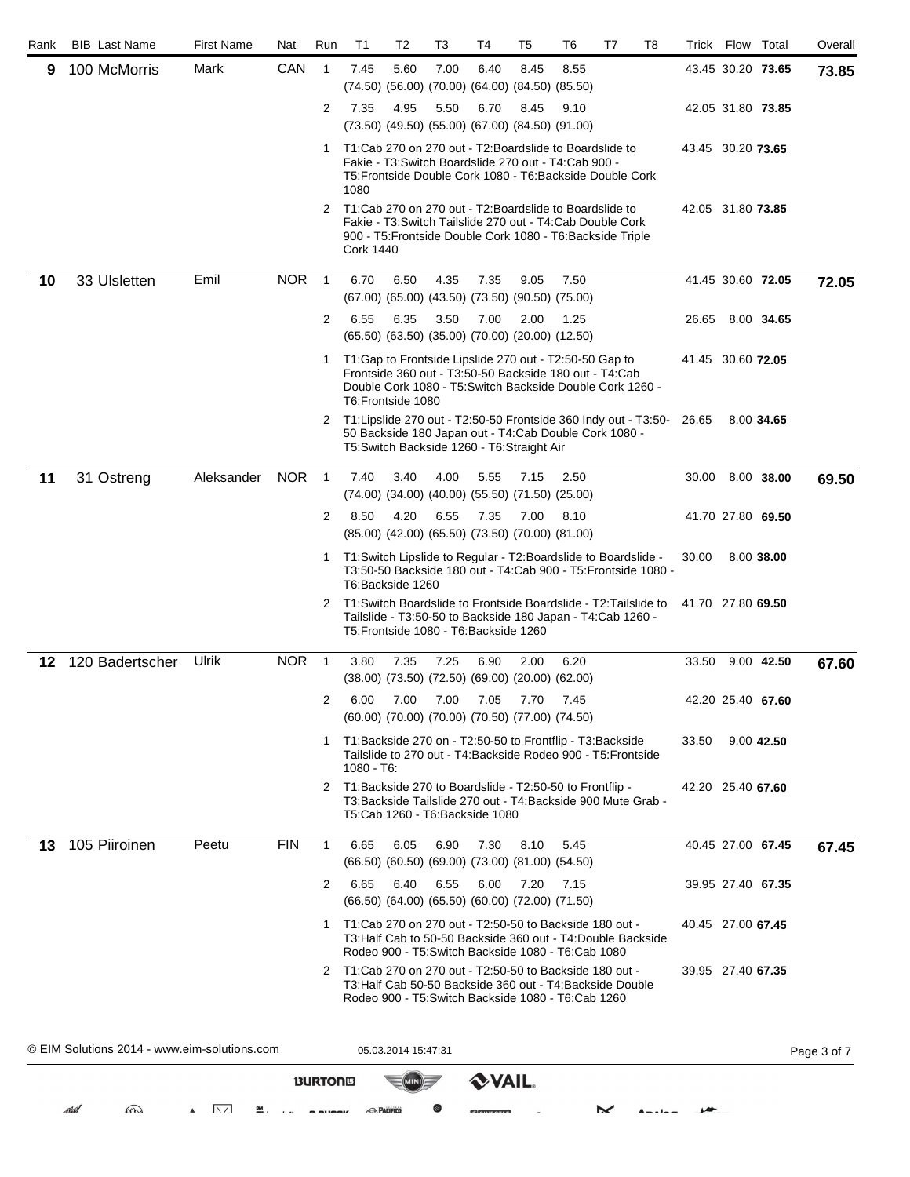| Rank | <b>BIB</b> Last Name                         | <b>First Name</b>             | Nat        | Run            | T <sub>1</sub>                                                                      | T2                  | T3                                     | Τ4          | T5                                                                                                                       | T6   | T7                | T8 |                   | Trick Flow Total  |                   | Overall     |
|------|----------------------------------------------|-------------------------------|------------|----------------|-------------------------------------------------------------------------------------|---------------------|----------------------------------------|-------------|--------------------------------------------------------------------------------------------------------------------------|------|-------------------|----|-------------------|-------------------|-------------------|-------------|
| 9    | 100 McMorris                                 | Mark                          | CAN        | $\mathbf{1}$   | 7.45                                                                                | 5.60                | 7.00                                   | 6.40        | 8.45<br>(74.50) (56.00) (70.00) (64.00) (84.50) (85.50)                                                                  | 8.55 |                   |    |                   |                   | 43.45 30.20 73.65 | 73.85       |
|      |                                              |                               |            | 2              | 7.35                                                                                | 4.95                | 5.50                                   | 6.70        | 8.45<br>(73.50) (49.50) (55.00) (67.00) (84.50) (91.00)                                                                  | 9.10 |                   |    |                   |                   | 42.05 31.80 73.85 |             |
|      |                                              |                               |            | 1              | T1:Cab 270 on 270 out - T2:Boardslide to Boardslide to<br>1080                      |                     |                                        |             | Fakie - T3: Switch Boardslide 270 out - T4: Cab 900 -<br>T5: Frontside Double Cork 1080 - T6: Backside Double Cork       |      |                   |    |                   | 43.45 30.20 73.65 |                   |             |
|      |                                              |                               |            | 2              | T1:Cab 270 on 270 out - T2:Boardslide to Boardslide to<br><b>Cork 1440</b>          |                     |                                        |             | Fakie - T3: Switch Tailslide 270 out - T4: Cab Double Cork<br>900 - T5: Frontside Double Cork 1080 - T6: Backside Triple |      |                   |    | 42.05 31.80 73.85 |                   |                   |             |
| 10   | 33 Ulsletten                                 | Emil                          | <b>NOR</b> | $\overline{1}$ | 6.70                                                                                | 6.50                | 4.35                                   | 7.35        | 9.05<br>$(67.00)$ $(65.00)$ $(43.50)$ $(73.50)$ $(90.50)$ $(75.00)$                                                      | 7.50 |                   |    |                   |                   | 41.45 30.60 72.05 | 72.05       |
|      |                                              |                               |            | 2              | 6.55                                                                                | 6.35                | 3.50                                   | 7.00        | 2.00<br>(65.50) (63.50) (35.00) (70.00) (20.00) (12.50)                                                                  | 1.25 |                   |    | 26.65             |                   | 8.00 34.65        |             |
|      |                                              |                               |            | $\mathbf{1}$   | T1: Gap to Frontside Lipslide 270 out - T2: 50-50 Gap to<br>T6: Frontside 1080      |                     |                                        |             | Frontside 360 out - T3:50-50 Backside 180 out - T4:Cab<br>Double Cork 1080 - T5: Switch Backside Double Cork 1260 -      |      |                   |    | 41.45 30.60 72.05 |                   |                   |             |
|      |                                              |                               |            | 2              | T1: Lipslide 270 out - T2:50-50 Frontside 360 Indy out - T3:50-                     |                     |                                        |             | 50 Backside 180 Japan out - T4: Cab Double Cork 1080 -<br>T5: Switch Backside 1260 - T6: Straight Air                    |      |                   |    | 26.65             |                   | 8.00 34.65        |             |
| 11   | 31 Ostreng                                   | Aleksander                    | <b>NOR</b> | $\overline{1}$ | 7.40                                                                                | 3.40                | 4.00                                   | 5.55        | 7.15<br>$(74.00)$ $(34.00)$ $(40.00)$ $(55.50)$ $(71.50)$ $(25.00)$                                                      | 2.50 |                   |    | 30.00             |                   | 8.00 38.00        | 69.50       |
|      |                                              |                               |            | 2              | 8.50                                                                                | 4.20                | 6.55                                   | 7.35        | 7.00<br>(85.00) (42.00) (65.50) (73.50) (70.00) (81.00)                                                                  | 8.10 |                   |    |                   |                   | 41.70 27.80 69.50 |             |
|      |                                              |                               |            | 1              | T1: Switch Lipslide to Regular - T2: Boardslide to Boardslide -<br>T6:Backside 1260 |                     |                                        |             | T3:50-50 Backside 180 out - T4:Cab 900 - T5: Frontside 1080 -                                                            |      |                   |    | 30.00             |                   | 8.00 38.00        |             |
|      |                                              |                               |            | 2              | T1: Switch Boardslide to Frontside Boardslide - T2: Tailslide to                    |                     | T5: Frontside 1080 - T6: Backside 1260 |             | Tailslide - T3:50-50 to Backside 180 Japan - T4:Cab 1260 -                                                               |      |                   |    | 41.70 27.80 69.50 |                   |                   |             |
| 12   | 120 Badertscher                              | Ulrik                         | <b>NOR</b> | $\overline{1}$ | 3.80                                                                                | 7.35                | 7.25                                   | 6.90        | 2.00<br>$(38.00)$ $(73.50)$ $(72.50)$ $(69.00)$ $(20.00)$ $(62.00)$                                                      | 6.20 |                   |    | 33.50             |                   | 9.00 42.50        | 67.60       |
|      |                                              |                               |            | 2              | 6.00                                                                                | 7.00                | 7.00                                   | 7.05        | 7.70<br>(60.00) (70.00) (70.00) (70.50) (77.00) (74.50)                                                                  | 7.45 |                   |    |                   |                   | 42.20 25.40 67.60 |             |
|      |                                              |                               |            | 1              | T1:Backside 270 on - T2:50-50 to Frontflip - T3:Backside<br>1080 - T6:              |                     |                                        |             | Tailslide to 270 out - T4: Backside Rodeo 900 - T5: Frontside                                                            |      |                   |    | 33.50             |                   | 9.00 42.50        |             |
|      |                                              |                               |            | 2              | T1: Backside 270 to Boardslide - T2:50-50 to Frontflip -                            |                     | T5:Cab 1260 - T6:Backside 1080         |             | T3: Backside Tailslide 270 out - T4: Backside 900 Mute Grab -                                                            |      |                   |    |                   | 42.20 25.40 67.60 |                   |             |
| 13   | 105 Piiroinen                                | Peetu                         | <b>FIN</b> | $\mathbf{1}$   | 6.65                                                                                | 6.05                | 6.90                                   | 7.30        | 8.10<br>(66.50) (60.50) (69.00) (73.00) (81.00) (54.50)                                                                  | 5.45 |                   |    |                   |                   | 40.45 27.00 67.45 | 67.45       |
|      |                                              |                               |            | 2              | 6.65                                                                                | 6.40                | 6.55                                   | 6.00        | 7.20<br>(66.50) (64.00) (65.50) (60.00) (72.00) (71.50)                                                                  | 7.15 |                   |    |                   |                   | 39.95 27.40 67.35 |             |
|      |                                              |                               |            |                | 1 T1:Cab 270 on 270 out - T2:50-50 to Backside 180 out -                            |                     |                                        |             | T3: Half Cab to 50-50 Backside 360 out - T4: Double Backside<br>Rodeo 900 - T5: Switch Backside 1080 - T6: Cab 1080      |      |                   |    |                   | 40.45 27.00 67.45 |                   |             |
|      |                                              |                               |            | 2              | T1:Cab 270 on 270 out - T2:50-50 to Backside 180 out -                              |                     |                                        |             | T3: Half Cab 50-50 Backside 360 out - T4: Backside Double<br>Rodeo 900 - T5: Switch Backside 1080 - T6: Cab 1260         |      |                   |    |                   | 39.95 27.40 67.35 |                   |             |
|      | © EIM Solutions 2014 - www.eim-solutions.com |                               |            |                |                                                                                     | 05.03.2014 15:47:31 |                                        |             |                                                                                                                          |      |                   |    |                   |                   |                   | Page 3 of 7 |
|      |                                              |                               |            | <b>BURTONS</b> |                                                                                     |                     |                                        | <b>VAIL</b> |                                                                                                                          |      |                   |    |                   |                   |                   |             |
|      | m<br>ma                                      | $\overline{ \Lambda\Lambda }$ |            |                | <b>RACIFICO</b>                                                                     |                     |                                        |             |                                                                                                                          |      | $\mathbf{\times}$ |    |                   |                   |                   |             |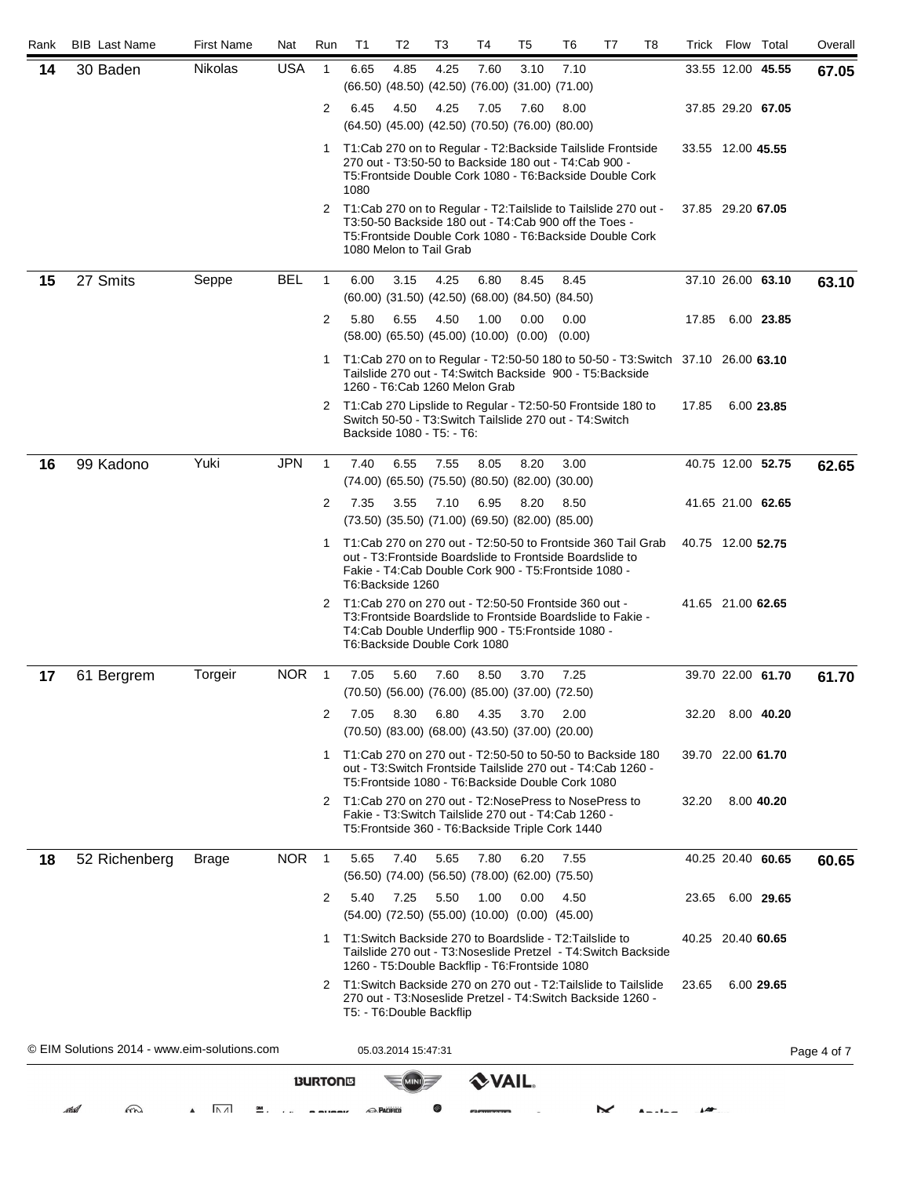| Rank | <b>BIB</b> Last Name                         | <b>First Name</b>       | Nat        | Run            | T <sub>1</sub>                                                                             | T <sub>2</sub>      | T3                             | Τ4           | T <sub>5</sub>                                                      | T <sub>6</sub>                                                                                                      | T7         | T8 |       | Trick Flow Total  |                   | Overall     |
|------|----------------------------------------------|-------------------------|------------|----------------|--------------------------------------------------------------------------------------------|---------------------|--------------------------------|--------------|---------------------------------------------------------------------|---------------------------------------------------------------------------------------------------------------------|------------|----|-------|-------------------|-------------------|-------------|
| 14   | 30 Baden                                     | Nikolas                 | <b>USA</b> | $\mathbf{1}$   | 6.65                                                                                       | 4.85                | 4.25                           | 7.60         | 3.10<br>(66.50) (48.50) (42.50) (76.00) (31.00) (71.00)             | 7.10                                                                                                                |            |    |       |                   | 33.55 12.00 45.55 | 67.05       |
|      |                                              |                         |            | $\overline{2}$ | 6.45                                                                                       | 4.50                | 4.25                           | 7.05         | 7.60<br>(64.50) (45.00) (42.50) (70.50) (76.00) (80.00)             | 8.00                                                                                                                |            |    |       | 37.85 29.20 67.05 |                   |             |
|      |                                              |                         |            |                | 1 T1:Cab 270 on to Regular - T2:Backside Tailslide Frontside<br>1080                       |                     |                                |              |                                                                     | 270 out - T3:50-50 to Backside 180 out - T4:Cab 900 -<br>T5: Frontside Double Cork 1080 - T6: Backside Double Cork  |            |    |       | 33.55 12.00 45.55 |                   |             |
|      |                                              |                         |            | 2              | T1:Cab 270 on to Regular - T2:Tailslide to Tailslide 270 out -<br>1080 Melon to Tail Grab  |                     |                                |              |                                                                     | T3:50-50 Backside 180 out - T4:Cab 900 off the Toes -<br>T5: Frontside Double Cork 1080 - T6: Backside Double Cork  |            |    |       | 37.85 29.20 67.05 |                   |             |
| 15   | 27 Smits                                     | Seppe                   | <b>BEL</b> | $\mathbf{1}$   | 6.00                                                                                       | 3.15                | 4.25                           | 6.80         | 8.45<br>$(60.00)$ $(31.50)$ $(42.50)$ $(68.00)$ $(84.50)$ $(84.50)$ | 8.45                                                                                                                |            |    |       |                   | 37.10 26.00 63.10 | 63.10       |
|      |                                              |                         |            | 2              | 5.80                                                                                       | 6.55                | 4.50                           | 1.00         | 0.00<br>$(58.00)$ $(65.50)$ $(45.00)$ $(10.00)$ $(0.00)$ $(0.00)$   | 0.00                                                                                                                |            |    |       | 17.85 6.00 23.85  |                   |             |
|      |                                              |                         |            | 1              | T1:Cab 270 on to Regular - T2:50-50 180 to 50-50 - T3:Switch 37.10 26.00 63.10             |                     | 1260 - T6: Cab 1260 Melon Grab |              |                                                                     | Tailslide 270 out - T4: Switch Backside 900 - T5: Backside                                                          |            |    |       |                   |                   |             |
|      |                                              |                         |            | 2              | T1:Cab 270 Lipslide to Regular - T2:50-50 Frontside 180 to<br>Backside 1080 - T5: - T6:    |                     |                                |              |                                                                     | Switch 50-50 - T3: Switch Tailslide 270 out - T4: Switch                                                            |            |    | 17.85 |                   | 6.00 23.85        |             |
| 16   | 99 Kadono                                    | Yuki                    | <b>JPN</b> | $\mathbf{1}$   | 7.40                                                                                       | 6.55                | 7.55                           | 8.05         | 8.20<br>(74.00) (65.50) (75.50) (80.50) (82.00) (30.00)             | 3.00                                                                                                                |            |    |       |                   | 40.75 12.00 52.75 | 62.65       |
|      |                                              |                         |            | $\overline{2}$ | 7.35                                                                                       | 3.55                | 7.10                           | 6.95         | 8.20<br>(73.50) (35.50) (71.00) (69.50) (82.00) (85.00)             | 8.50                                                                                                                |            |    |       | 41.65 21.00 62.65 |                   |             |
|      |                                              |                         |            | 1              | T1:Cab 270 on 270 out - T2:50-50 to Frontside 360 Tail Grab<br>T6:Backside 1260            |                     |                                |              |                                                                     | out - T3: Frontside Boardslide to Frontside Boardslide to<br>Fakie - T4: Cab Double Cork 900 - T5: Frontside 1080 - |            |    |       | 40.75 12.00 52.75 |                   |             |
|      |                                              |                         |            | 2              | T1:Cab 270 on 270 out - T2:50-50 Frontside 360 out -                                       |                     | T6: Backside Double Cork 1080  |              |                                                                     | T3: Frontside Boardslide to Frontside Boardslide to Fakie -<br>T4:Cab Double Underflip 900 - T5:Frontside 1080 -    |            |    |       | 41.65 21.00 62.65 |                   |             |
| 17   | 61 Bergrem                                   | Torgeir                 | <b>NOR</b> | $\overline{1}$ | 7.05                                                                                       | 5.60                | 7.60                           | 8.50         | 3.70<br>$(70.50)$ $(56.00)$ $(76.00)$ $(85.00)$ $(37.00)$ $(72.50)$ | 7.25                                                                                                                |            |    |       |                   | 39.70 22.00 61.70 | 61.70       |
|      |                                              |                         |            | 2              | 7.05                                                                                       | 8.30                | 6.80                           | 4.35         | 3.70<br>$(70.50)$ $(83.00)$ $(68.00)$ $(43.50)$ $(37.00)$ $(20.00)$ | 2.00                                                                                                                |            |    |       | 32.20 8.00 40.20  |                   |             |
|      |                                              |                         |            | 1.             | T1:Cab 270 on 270 out - T2:50-50 to 50-50 to Backside 180                                  |                     |                                |              |                                                                     | out - T3: Switch Frontside Tailslide 270 out - T4: Cab 1260 -<br>T5: Frontside 1080 - T6: Backside Double Cork 1080 |            |    |       | 39.70 22.00 61.70 |                   |             |
|      |                                              |                         |            | 2              | T1:Cab 270 on 270 out - T2:NosePress to NosePress to                                       |                     |                                |              |                                                                     | Fakie - T3: Switch Tailslide 270 out - T4: Cab 1260 -<br>T5: Frontside 360 - T6: Backside Triple Cork 1440          |            |    | 32.20 |                   | 8.00 40.20        |             |
| 18   | 52 Richenberg                                | <b>Brage</b>            | <b>NOR</b> | $\overline{1}$ | 5.65                                                                                       | 7.40                | 5.65                           | 7.80         | 6.20<br>$(56.50)$ $(74.00)$ $(56.50)$ $(78.00)$ $(62.00)$ $(75.50)$ | 7.55                                                                                                                |            |    |       | 40.25 20.40 60.65 |                   | 60.65       |
|      |                                              |                         |            | 2              | 5.40                                                                                       | 7.25                | 5.50                           | 1.00         | 0.00<br>(54.00) (72.50) (55.00) (10.00) (0.00) (45.00)              | 4.50                                                                                                                |            |    | 23.65 |                   | 6.00 29.65        |             |
|      |                                              |                         |            | 1              | T1:Switch Backside 270 to Boardslide - T2:Tailslide to                                     |                     |                                |              | 1260 - T5: Double Backflip - T6: Frontside 1080                     | Tailslide 270 out - T3: Noseslide Pretzel - T4: Switch Backside                                                     |            |    |       | 40.25 20.40 60.65 |                   |             |
|      |                                              |                         |            | 2              | T1: Switch Backside 270 on 270 out - T2: Tailslide to Tailslide<br>T5: T6: Double Backflip |                     |                                |              |                                                                     | 270 out - T3: Noseslide Pretzel - T4: Switch Backside 1260 -                                                        |            |    | 23.65 |                   | 6.00 29.65        |             |
|      | © EIM Solutions 2014 - www.eim-solutions.com |                         |            |                |                                                                                            | 05.03.2014 15:47:31 |                                |              |                                                                     |                                                                                                                     |            |    |       |                   |                   | Page 4 of 7 |
|      |                                              |                         |            | <b>BURTONS</b> |                                                                                            |                     |                                | <b>VAIL.</b> |                                                                     |                                                                                                                     |            |    |       |                   |                   |             |
|      | m<br>athal                                   | $\overline{ \wedge A }$ | 쬎.         |                | <b>RACIFICO</b>                                                                            |                     |                                |              |                                                                     |                                                                                                                     | $\tilde{}$ |    |       |                   |                   |             |
|      |                                              |                         |            |                |                                                                                            |                     |                                |              |                                                                     |                                                                                                                     |            |    |       |                   |                   |             |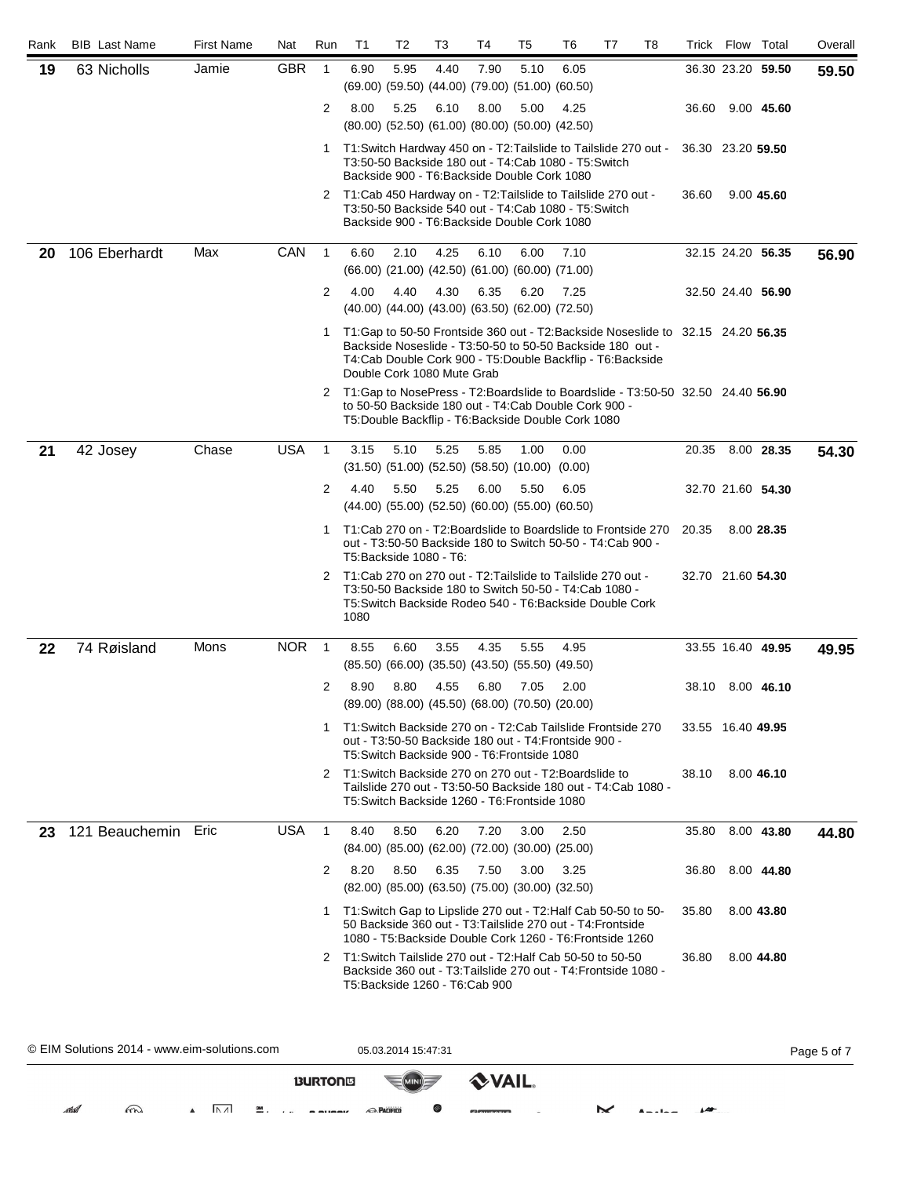| Rank | <b>BIB</b> Last Name                         | <b>First Name</b>     | Nat              | Run            | T1                                                                                                                                     | T2                  | T3   | T4          | T5                                                                                                                     | T6   | T7 | T8 |                   | Trick Flow Total |                   | Overall     |
|------|----------------------------------------------|-----------------------|------------------|----------------|----------------------------------------------------------------------------------------------------------------------------------------|---------------------|------|-------------|------------------------------------------------------------------------------------------------------------------------|------|----|----|-------------------|------------------|-------------------|-------------|
| 19   | 63 Nicholls                                  | Jamie                 | <b>GBR</b>       | $\overline{1}$ | 6.90                                                                                                                                   | 5.95                | 4.40 | 7.90        | 5.10<br>(69.00) (59.50) (44.00) (79.00) (51.00) (60.50)                                                                | 6.05 |    |    |                   |                  | 36.30 23.20 59.50 | 59.50       |
|      |                                              |                       |                  | $\overline{2}$ | 8.00                                                                                                                                   | 5.25                | 6.10 | 8.00        | 5.00<br>(80.00) (52.50) (61.00) (80.00) (50.00) (42.50)                                                                | 4.25 |    |    |                   |                  | 36.60 9.00 45.60  |             |
|      |                                              |                       |                  |                | 1 T1: Switch Hardway 450 on - T2: Tailslide to Tailslide 270 out -                                                                     |                     |      |             | T3:50-50 Backside 180 out - T4:Cab 1080 - T5:Switch<br>Backside 900 - T6: Backside Double Cork 1080                    |      |    |    | 36.30 23.20 59.50 |                  |                   |             |
|      |                                              |                       |                  | 2              | T1:Cab 450 Hardway on - T2:Tailslide to Tailslide 270 out -                                                                            |                     |      |             | T3:50-50 Backside 540 out - T4:Cab 1080 - T5:Switch<br>Backside 900 - T6: Backside Double Cork 1080                    |      |    |    | 36.60             |                  | 9.00 45.60        |             |
| 20   | 106 Eberhardt                                | Max                   | CAN              | $\overline{1}$ | 6.60                                                                                                                                   | 2.10                | 4.25 | 6.10        | 6.00<br>$(66.00)$ $(21.00)$ $(42.50)$ $(61.00)$ $(60.00)$ $(71.00)$                                                    | 7.10 |    |    |                   |                  | 32.15 24.20 56.35 | 56.90       |
|      |                                              |                       |                  | $\overline{2}$ | 4.00                                                                                                                                   | 4.40                | 4.30 | 6.35        | 6.20<br>(40.00) (44.00) (43.00) (63.50) (62.00) (72.50)                                                                | 7.25 |    |    |                   |                  | 32.50 24.40 56.90 |             |
|      |                                              |                       |                  | 1              | T1:Gap to 50-50 Frontside 360 out - T2:Backside Noseslide to 32.15 24.20 56.35<br>Double Cork 1080 Mute Grab                           |                     |      |             | Backside Noseslide - T3:50-50 to 50-50 Backside 180 out -<br>T4:Cab Double Cork 900 - T5:Double Backflip - T6:Backside |      |    |    |                   |                  |                   |             |
|      |                                              |                       |                  | 2              | T1:Gap to NosePress - T2:Boardslide to Boardslide - T3:50-50 32.50 24.40 56.90<br>to 50-50 Backside 180 out - T4:Cab Double Cork 900 - |                     |      |             | T5: Double Backflip - T6: Backside Double Cork 1080                                                                    |      |    |    |                   |                  |                   |             |
| 21   | 42 Josey                                     | Chase                 | <b>USA</b>       | $\mathbf{1}$   | 3.15                                                                                                                                   | 5.10                | 5.25 | 5.85        | 1.00<br>$(31.50)$ $(51.00)$ $(52.50)$ $(58.50)$ $(10.00)$ $(0.00)$                                                     | 0.00 |    |    | 20.35             |                  | 8.00 28.35        | 54.30       |
|      |                                              |                       |                  | 2              | 4.40                                                                                                                                   | 5.50                | 5.25 | 6.00        | 5.50<br>$(44.00)$ $(55.00)$ $(52.50)$ $(60.00)$ $(55.00)$ $(60.50)$                                                    | 6.05 |    |    |                   |                  | 32.70 21.60 54.30 |             |
|      |                                              |                       |                  | 1              | T1:Cab 270 on - T2:Boardslide to Boardslide to Frontside 270<br>T5: Backside 1080 - T6:                                                |                     |      |             | out - T3:50-50 Backside 180 to Switch 50-50 - T4:Cab 900 -                                                             |      |    |    | 20.35             |                  | 8.00 28.35        |             |
|      |                                              |                       |                  | 2              | T1:Cab 270 on 270 out - T2:Tailslide to Tailslide 270 out -<br>1080                                                                    |                     |      |             | T3:50-50 Backside 180 to Switch 50-50 - T4:Cab 1080 -<br>T5:Switch Backside Rodeo 540 - T6:Backside Double Cork        |      |    |    | 32.70 21.60 54.30 |                  |                   |             |
| 22   | 74 Røisland                                  | Mons                  | <b>NOR</b>       | $\overline{1}$ | 8.55                                                                                                                                   | 6.60                | 3.55 | 4.35        | 5.55<br>$(85.50)$ $(66.00)$ $(35.50)$ $(43.50)$ $(55.50)$ $(49.50)$                                                    | 4.95 |    |    |                   |                  | 33.55 16.40 49.95 | 49.95       |
|      |                                              |                       |                  | 2              | 8.90                                                                                                                                   | 8.80                | 4.55 | 6.80        | 7.05<br>(89.00) (88.00) (45.50) (68.00) (70.50) (20.00)                                                                | 2.00 |    |    |                   |                  | 38.10 8.00 46.10  |             |
|      |                                              |                       |                  | -1             | T1:Switch Backside 270 on - T2:Cab Tailslide Frontside 270                                                                             |                     |      |             | out - T3:50-50 Backside 180 out - T4: Frontside 900 -<br>T5: Switch Backside 900 - T6: Frontside 1080                  |      |    |    | 33.55 16.40 49.95 |                  |                   |             |
|      |                                              |                       |                  | 2              | T1: Switch Backside 270 on 270 out - T2: Boardslide to                                                                                 |                     |      |             | Tailslide 270 out - T3:50-50 Backside 180 out - T4:Cab 1080 -<br>T5:Switch Backside 1260 - T6:Frontside 1080           |      |    |    | 38.10             |                  | 8.00 46.10        |             |
| 23   | 121 Beauchemin                               | Eric                  | <b>USA</b>       | $\overline{1}$ | 8.40                                                                                                                                   | 8.50                | 6.20 | 7.20        | 3.00<br>$(84.00)$ $(85.00)$ $(62.00)$ $(72.00)$ $(30.00)$ $(25.00)$                                                    | 2.50 |    |    | 35.80             |                  | 8.00 43.80        | 44.80       |
|      |                                              |                       |                  | 2              | 8.20                                                                                                                                   | 8.50                | 6.35 | 7.50        | 3.00<br>$(82.00)$ $(85.00)$ $(63.50)$ $(75.00)$ $(30.00)$ $(32.50)$                                                    | 3.25 |    |    | 36.80             |                  | 8.00 44.80        |             |
|      |                                              |                       |                  |                | 1 T1: Switch Gap to Lipslide 270 out - T2: Half Cab 50-50 to 50-                                                                       |                     |      |             | 50 Backside 360 out - T3:Tailslide 270 out - T4:Frontside<br>1080 - T5: Backside Double Cork 1260 - T6: Frontside 1260 |      |    |    | 35.80             |                  | 8.00 43.80        |             |
|      |                                              |                       |                  | 2              | T1:Switch Tailslide 270 out - T2:Half Cab 50-50 to 50-50<br>T5:Backside 1260 - T6:Cab 900                                              |                     |      |             | Backside 360 out - T3: Tailslide 270 out - T4: Frontside 1080 -                                                        |      |    |    | 36.80             |                  | 8.00 44.80        |             |
|      | © EIM Solutions 2014 - www.eim-solutions.com |                       |                  |                |                                                                                                                                        | 05.03.2014 15:47:31 |      |             |                                                                                                                        |      |    |    |                   |                  |                   | Page 5 of 7 |
|      |                                              |                       |                  | <b>BURTONS</b> |                                                                                                                                        |                     |      | <b>VAIL</b> |                                                                                                                        |      |    |    |                   |                  |                   |             |
|      | m<br>athel                                   | $\overline{ \Lambda}$ | $\frac{3M}{2}$ . |                | <b>RACIFICO</b>                                                                                                                        |                     |      |             |                                                                                                                        |      | ⋉  |    |                   |                  |                   |             |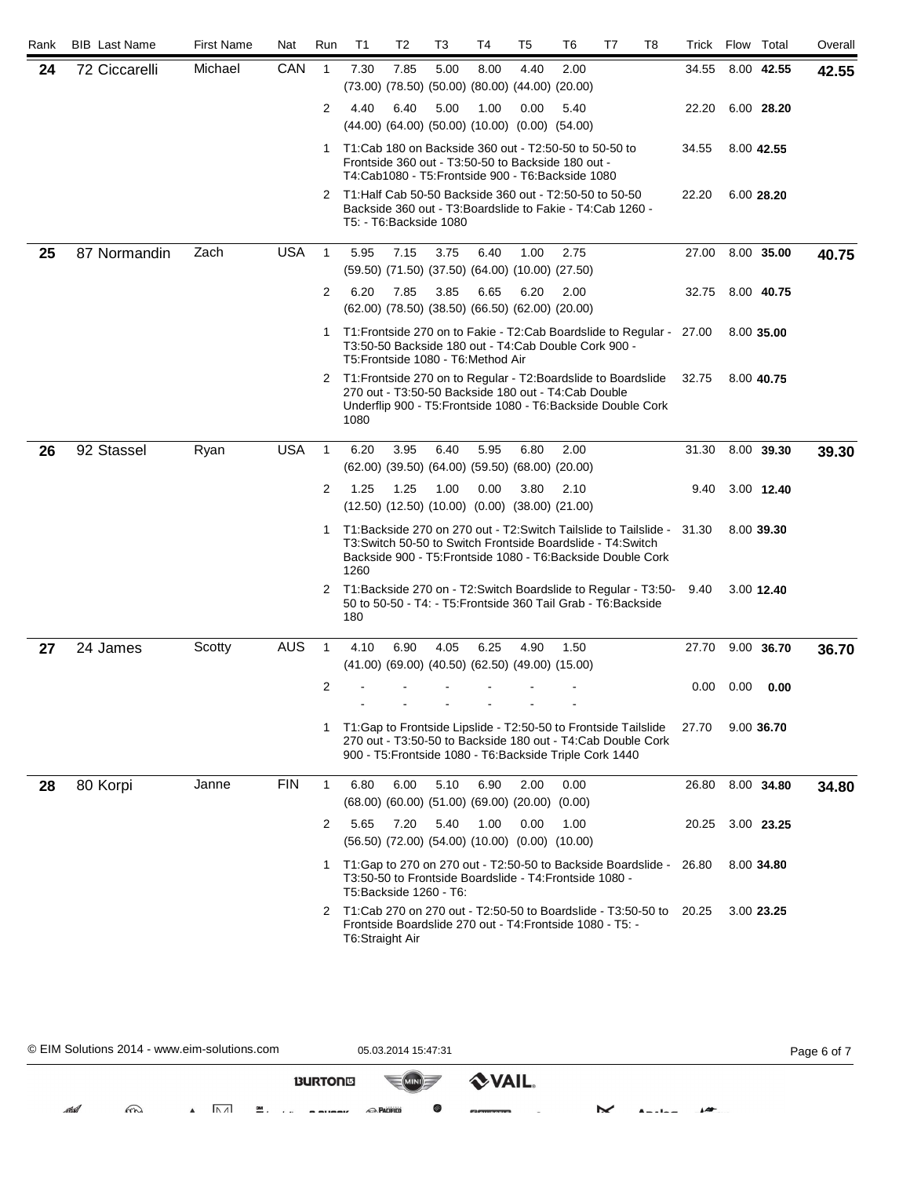| Rank | <b>BIB</b> Last Name | <b>First Name</b> | Nat        | Run            | T <sub>1</sub>   | T <sub>2</sub> | T3                                                                  | T4   | T5   | T6                                                                                                                                                                                                    | T7 | T8 | Trick Flow Total |      |            | Overall |
|------|----------------------|-------------------|------------|----------------|------------------|----------------|---------------------------------------------------------------------|------|------|-------------------------------------------------------------------------------------------------------------------------------------------------------------------------------------------------------|----|----|------------------|------|------------|---------|
| 24   | 72 Ciccarelli        | Michael           | CAN        | $\overline{1}$ | 7.30             | 7.85           | 5.00<br>$(73.00)$ $(78.50)$ $(50.00)$ $(80.00)$ $(44.00)$ $(20.00)$ | 8.00 | 4.40 | 2.00                                                                                                                                                                                                  |    |    | 34.55            |      | 8.00 42.55 | 42.55   |
|      |                      |                   |            | 2              | 4.40             | 6.40           | 5.00<br>(44.00) (64.00) (50.00) (10.00) (0.00) (54.00)              | 1.00 | 0.00 | 5.40                                                                                                                                                                                                  |    |    | 22.20            |      | 6.00 28.20 |         |
|      |                      |                   |            | $\mathbf{1}$   |                  |                |                                                                     |      |      | T1:Cab 180 on Backside 360 out - T2:50-50 to 50-50 to<br>Frontside 360 out - T3:50-50 to Backside 180 out -<br>T4:Cab1080 - T5:Frontside 900 - T6:Backside 1080                                       |    |    | 34.55            |      | 8.00 42.55 |         |
|      |                      |                   |            | 2              |                  |                | T5: T6: Backside 1080                                               |      |      | T1: Half Cab 50-50 Backside 360 out - T2: 50-50 to 50-50<br>Backside 360 out - T3: Boardslide to Fakie - T4: Cab 1260 -                                                                               |    |    | 22.20            |      | 6.00 28.20 |         |
| 25   | 87 Normandin         | Zach              | <b>USA</b> | $\mathbf{1}$   | 5.95             | 7.15           | 3.75<br>$(59.50)$ $(71.50)$ $(37.50)$ $(64.00)$ $(10.00)$ $(27.50)$ | 6.40 | 1.00 | 2.75                                                                                                                                                                                                  |    |    | 27.00            |      | 8.00 35.00 | 40.75   |
|      |                      |                   |            | $\overline{2}$ | 6.20             | 7.85           | 3.85<br>(62.00) (78.50) (38.50) (66.50) (62.00) (20.00)             | 6.65 | 6.20 | 2.00                                                                                                                                                                                                  |    |    | 32.75            |      | 8.00 40.75 |         |
|      |                      |                   |            | 1              |                  |                | T5: Frontside 1080 - T6: Method Air                                 |      |      | T1: Frontside 270 on to Fakie - T2: Cab Boardslide to Regular - 27.00<br>T3:50-50 Backside 180 out - T4:Cab Double Cork 900 -                                                                         |    |    |                  |      | 8.00 35.00 |         |
|      |                      |                   |            |                | 1080             |                |                                                                     |      |      | 2 T1: Frontside 270 on to Regular - T2: Boardslide to Boardslide<br>270 out - T3:50-50 Backside 180 out - T4:Cab Double<br>Underflip 900 - T5: Frontside 1080 - T6: Backside Double Cork              |    |    | 32.75            |      | 8.00 40.75 |         |
| 26   | 92 Stassel           | Ryan              | <b>USA</b> | $\mathbf{1}$   | 6.20             | 3.95           | 6.40<br>(62.00) (39.50) (64.00) (59.50) (68.00) (20.00)             | 5.95 | 6.80 | 2.00                                                                                                                                                                                                  |    |    | 31.30            |      | 8.00 39.30 | 39.30   |
|      |                      |                   |            | $\overline{2}$ | 1.25             | 1.25           | 1.00<br>$(12.50)$ $(12.50)$ $(10.00)$ $(0.00)$ $(38.00)$ $(21.00)$  | 0.00 | 3.80 | 2.10                                                                                                                                                                                                  |    |    | 9.40             |      | 3.00 12.40 |         |
|      |                      |                   |            |                | 1260             |                |                                                                     |      |      | T1:Backside 270 on 270 out - T2:Switch Tailslide to Tailslide - 31.30<br>T3: Switch 50-50 to Switch Frontside Boardslide - T4: Switch<br>Backside 900 - T5: Frontside 1080 - T6: Backside Double Cork |    |    |                  |      | 8.00 39.30 |         |
|      |                      |                   |            | 2              | 180              |                |                                                                     |      |      | T1:Backside 270 on - T2:Switch Boardslide to Regular - T3:50- 9.40<br>50 to 50-50 - T4: - T5: Frontside 360 Tail Grab - T6: Backside                                                                  |    |    |                  |      | 3.00 12.40 |         |
| 27   | 24 James             | Scotty            | <b>AUS</b> | $\mathbf{1}$   | 4.10             | 6.90           | 4.05<br>$(41.00)$ $(69.00)$ $(40.50)$ $(62.50)$ $(49.00)$ $(15.00)$ | 6.25 | 4.90 | 1.50                                                                                                                                                                                                  |    |    | 27.70            |      | 9.00 36.70 | 36.70   |
|      |                      |                   |            | 2              |                  |                |                                                                     |      |      |                                                                                                                                                                                                       |    |    | 0.00             | 0.00 | 0.00       |         |
|      |                      |                   |            |                |                  |                |                                                                     |      |      | 1 T1: Gap to Frontside Lipslide - T2: 50-50 to Frontside Tailslide<br>270 out - T3:50-50 to Backside 180 out - T4:Cab Double Cork<br>900 - T5: Frontside 1080 - T6: Backside Triple Cork 1440         |    |    | 27.70            |      | 9.00 36.70 |         |
| 28   | 80 Korpi             | Janne             | <b>FIN</b> | $\mathbf{1}$   | 6.80             | 6.00           | 5.10<br>$(68.00)$ $(60.00)$ $(51.00)$ $(69.00)$ $(20.00)$ $(0.00)$  | 6.90 | 2.00 | 0.00                                                                                                                                                                                                  |    |    | 26.80            |      | 8.00 34.80 | 34.80   |
|      |                      |                   |            | 2              | 5.65             | 7.20           | 5.40<br>$(56.50)$ $(72.00)$ $(54.00)$ $(10.00)$ $(0.00)$ $(10.00)$  | 1.00 | 0.00 | 1.00                                                                                                                                                                                                  |    |    | 20.25            |      | 3.00 23.25 |         |
|      |                      |                   |            | 1              |                  |                | T5:Backside 1260 - T6:                                              |      |      | T1:Gap to 270 on 270 out - T2:50-50 to Backside Boardslide -<br>T3:50-50 to Frontside Boardslide - T4: Frontside 1080 -                                                                               |    |    | 26.80            |      | 8.00 34.80 |         |
|      |                      |                   |            | 2              | T6: Straight Air |                |                                                                     |      |      | T1:Cab 270 on 270 out - T2:50-50 to Boardslide - T3:50-50 to<br>Frontside Boardslide 270 out - T4: Frontside 1080 - T5: -                                                                             |    |    | 20.25            |      | 3.00 23.25 |         |

© EIM Solutions 2014 - www.eim-solutions.com 05.03.2014 15:47:31 Page 6 of 7**VAIL. BURTONS** MINI atlal  $m$  $\blacksquare$ **M** . . . **n** munny **RACIFICO** Ø  $M$  Ander  $M$  $A$  $\mathcal{L}_{\text{max}}$